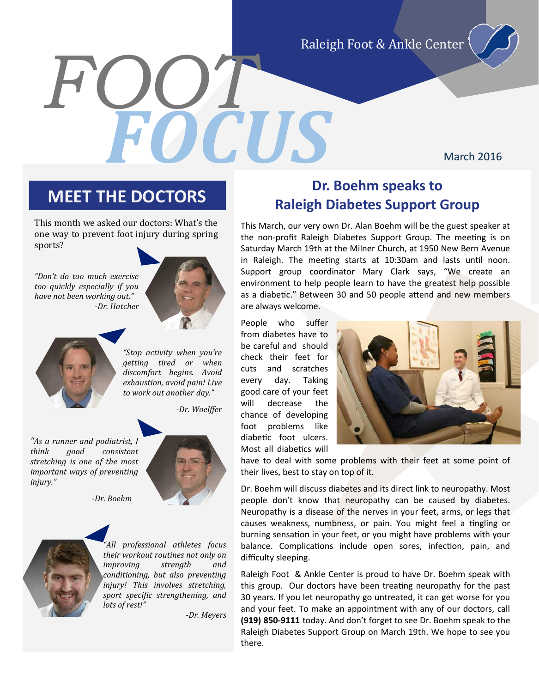Raleigh Foot & Ankle Center

March 2016

*FOOT*

This month we asked our doctors: What's the one way to prevent foot injury during spring sports?

*"Don't do too much exercise too quickly especially if you have not been working out." -Dr. Hatcher*



*"Stop activity when you're getting tired or when discomfort begins. Avoid exhaustion, avoid pain! Live to work out another day."*

*-Dr. Woelffer*

*FOCUS*

*"As a runner and podiatrist, I think good consistent stretching is one of the most important ways of preventing injury."*



*-Dr. Boehm*



*"All professional athletes focus their workout routines not only on improving strength and conditioning, but also preventing injury! This involves stretching, sport specific strengthening, and lots of rest!"*

*-Dr. Meyers*

### **Dr. Boehm speaks to**<br> **Dr. Boehm speaks to Raleigh Diabetes Support Group**

This March, our very own Dr. Alan Boehm will be the guest speaker at the non-profit Raleigh Diabetes Support Group. The meeting is on Saturday March 19th at the Milner Church, at 1950 New Bern Avenue in Raleigh. The meeting starts at 10:30am and lasts until noon. Support group coordinator Mary Clark says, "We create an environment to help people learn to have the greatest help possible as a diabetic." Between 30 and 50 people attend and new members are always welcome.

People who suffer from diabetes have to be careful and should check their feet for cuts and scratches every day. Taking good care of your feet will decrease the chance of developing foot problems like diabetic foot ulcers. Most all diabetics will



have to deal with some problems with their feet at some point of their lives, best to stay on top of it.

Dr. Boehm will discuss diabetes and its direct link to neuropathy. Most people don't know that neuropathy can be caused by diabetes. Neuropathy is a disease of the nerves in your feet, arms, or legs that causes weakness, numbness, or pain. You might feel a tingling or burning sensation in your feet, or you might have problems with your balance. Complications include open sores, infection, pain, and difficulty sleeping.

Raleigh Foot & Ankle Center is proud to have Dr. Boehm speak with this group. Our doctors have been treating neuropathy for the past 30 years. If you let neuropathy go untreated, it can get worse for you and your feet. To make an appointment with any of our doctors, call **(919) 850-9111** today. And don't forget to see Dr. Boehm speak to the Raleigh Diabetes Support Group on March 19th. We hope to see you there.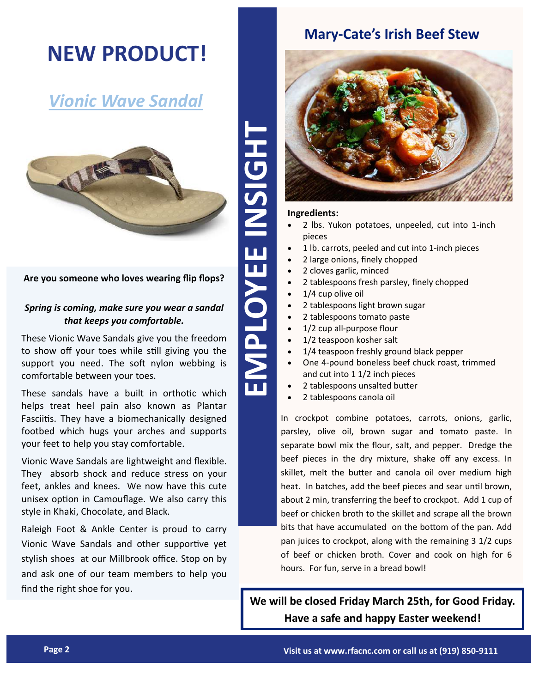## **NEW PRODUCT!**

## *Vionic Wave Sandal*



#### **Are you someone who loves wearing flip flops?**

#### *Spring is coming, make sure you wear a sandal that keeps you comfortable.*

These Vionic Wave Sandals give you the freedom to show off your toes while still giving you the support you need. The soft nylon webbing is comfortable between your toes.

These sandals have a built in orthotic which helps treat heel pain also known as Plantar Fasciitis. They have a biomechanically designed footbed which hugs your arches and supports your feet to help you stay comfortable.

Vionic Wave Sandals are lightweight and flexible. They absorb shock and reduce stress on your feet, ankles and knees. We now have this cute unisex option in Camouflage. We also carry this style in Khaki, Chocolate, and Black.

Raleigh Foot & Ankle Center is proud to carry Vionic Wave Sandals and other supportive yet stylish shoes at our Millbrook office. Stop on by and ask one of our team members to help you find the right shoe for you.

## **Mary-Cate's Irish Beef Stew**



#### **Ingredients:**

- 2 lbs. Yukon potatoes, unpeeled, cut into 1-inch pieces
- 1 lb. carrots, peeled and cut into 1-inch pieces
- 2 large onions, finely chopped
- 2 cloves garlic, minced
- 2 tablespoons fresh parsley, finely chopped
- 1/4 cup olive oil
- 2 tablespoons light brown sugar
- 2 tablespoons tomato paste
- 1/2 cup all-purpose flour
- 1/2 teaspoon kosher salt
- 1/4 teaspoon freshly ground black pepper
- One 4-pound boneless beef chuck roast, trimmed and cut into 1 1/2 inch pieces
- 2 tablespoons unsalted butter
- 2 tablespoons canola oil

**Page 2**<br> **Page 2 Page 2**<br> **Page 2 Page 2**<br> **Page 2 Page 2**<br> **Page 2 Page 2**<br> **Page 2**<br> **Page 2**<br> **Page 2**<br> **Page 2**<br> **Page 2**<br> **Page 2**<br> **Page 2**<br> **Page 2**<br> **Page 2**<br> **Page 2**<br> **Page 2**<br> **Page 2**<br> **Page 2**<br> **Page** In crockpot combine potatoes, carrots, onions, garlic, parsley, olive oil, brown sugar and tomato paste. In separate bowl mix the flour, salt, and pepper. Dredge the beef pieces in the dry mixture, shake off any excess. In skillet, melt the butter and canola oil over medium high heat. In batches, add the beef pieces and sear until brown, about 2 min, transferring the beef to crockpot. Add 1 cup of beef or chicken broth to the skillet and scrape all the brown bits that have accumulated on the bottom of the pan. Add pan juices to crockpot, along with the remaining 3 1/2 cups of beef or chicken broth. Cover and cook on high for 6 hours. For fun, serve in a bread bowl!

**We will be closed Friday March 25th, for Good Friday. Have a safe and happy Easter weekend!**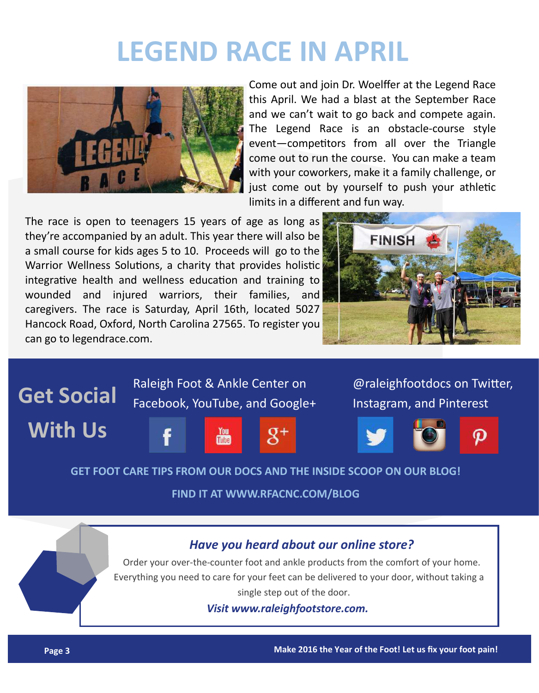## **LEGEND RACE IN APRIL**



Come out and join Dr. Woelffer at the Legend Race this April. We had a blast at the September Race and we can't wait to go back and compete again. The Legend Race is an obstacle-course style event—competitors from all over the Triangle come out to run the course. You can make a team with your coworkers, make it a family challenge, or just come out by yourself to push your athletic limits in a different and fun way.

The race is open to teenagers 15 years of age as long as they're accompanied by an adult. This year there will also be a small course for kids ages 5 to 10. Proceeds will go to the Warrior Wellness Solutions, a charity that provides holistic integrative health and wellness education and training to wounded and injured warriors, their families, and caregivers. The race is Saturday, April 16th, located 5027 Hancock Road, Oxford, North Carolina 27565. To register you can go to legendrace.com.





#### **GET FOOT CARE TIPS FROM OUR DOCS AND THE INSIDE SCOOP ON OUR BLOG!**

#### **FIND IT AT WWW.RFACNC.COM/BLOG**

### *Have you heard about our online store?*

Order your over-the-counter foot and ankle products from the comfort of your home. Everything you need to care for your feet can be delivered to your door, without taking a single step out of the door.

*Visit www.raleighfootstore.com.*

**Page 3 Make 2016 the Year of the Foot! Let us fix your foot pain!**